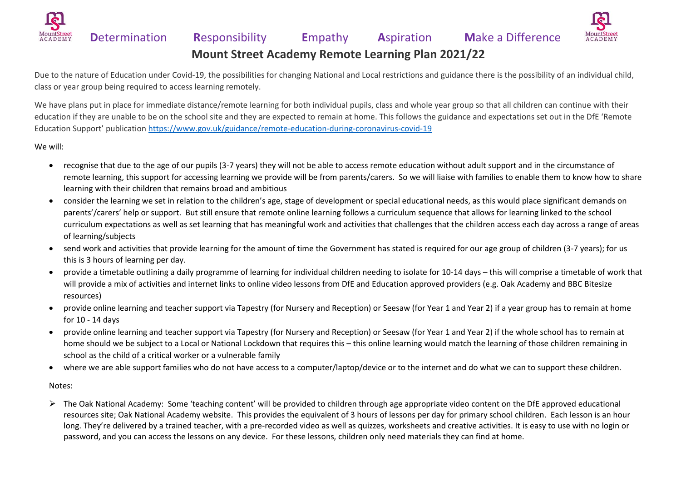



**Mount Street Academy Remote Learning Plan 2021/22**

Due to the nature of Education under Covid-19, the possibilities for changing National and Local restrictions and guidance there is the possibility of an individual child, class or year group being required to access learning remotely.

We have plans put in place for immediate distance/remote learning for both individual pupils, class and whole year group so that all children can continue with their education if they are unable to be on the school site and they are expected to remain at home. This follows the guidance and expectations set out in the DfE 'Remote Education Support' publication<https://www.gov.uk/guidance/remote-education-during-coronavirus-covid-19>

#### We will:

- recognise that due to the age of our pupils (3-7 years) they will not be able to access remote education without adult support and in the circumstance of remote learning, this support for accessing learning we provide will be from parents/carers. So we will liaise with families to enable them to know how to share learning with their children that remains broad and ambitious
- consider the learning we set in relation to the children's age, stage of development or special educational needs, as this would place significant demands on parents'/carers' help or support. But still ensure that remote online learning follows a curriculum sequence that allows for learning linked to the school curriculum expectations as well as set learning that has meaningful work and activities that challenges that the children access each day across a range of areas of learning/subjects
- send work and activities that provide learning for the amount of time the Government has stated is required for our age group of children (3-7 years); for us this is 3 hours of learning per day.
- provide a timetable outlining a daily programme of learning for individual children needing to isolate for 10-14 days this will comprise a timetable of work that will provide a mix of activities and internet links to online video lessons from DfE and Education approved providers (e.g. Oak Academy and BBC Bitesize resources)
- provide online learning and teacher support via Tapestry (for Nursery and Reception) or Seesaw (for Year 1 and Year 2) if a year group has to remain at home for 10 - 14 days
- provide online learning and teacher support via Tapestry (for Nursery and Reception) or Seesaw (for Year 1 and Year 2) if the whole school has to remain at home should we be subject to a Local or National Lockdown that requires this – this online learning would match the learning of those children remaining in school as the child of a critical worker or a vulnerable family
- where we are able support families who do not have access to a computer/laptop/device or to the internet and do what we can to support these children.

Notes:

➢ The Oak National Academy: Some 'teaching content' will be provided to children through age appropriate video content on the DfE approved educational resources site; Oak National Academy website. This provides the equivalent of 3 hours of lessons per day for primary school children. Each lesson is an hour long. They're delivered by a trained teacher, with a pre-recorded video as well as quizzes, worksheets and creative activities. It is easy to use with no login or password, and you can access the lessons on any device. For these lessons, children only need materials they can find at home.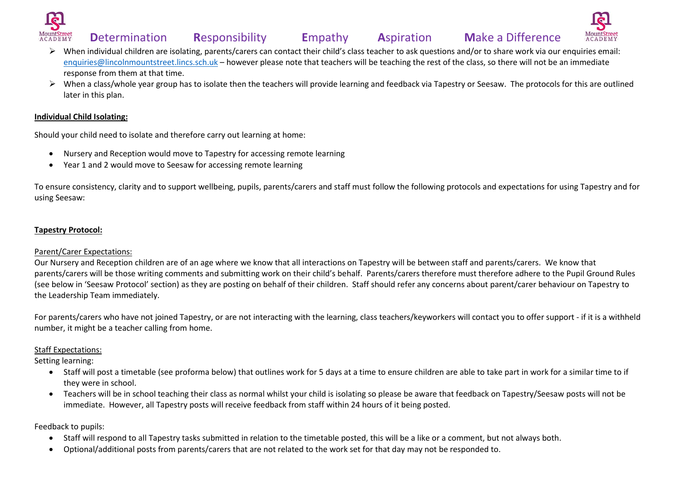



- ➢ When individual children are isolating, parents/carers can contact their child's class teacher to ask questions and/or to share work via our enquiries email: [enquiries@lincolnmountstreet.lincs.sch.uk](mailto:enquiries@lincolnmountstreet.lincs.sch.uk) – however please note that teachers will be teaching the rest of the class, so there will not be an immediate response from them at that time.
- ➢ When a class/whole year group has to isolate then the teachers will provide learning and feedback via Tapestry or Seesaw. The protocols for this are outlined later in this plan.

#### **Individual Child Isolating:**

Should your child need to isolate and therefore carry out learning at home:

- Nursery and Reception would move to Tapestry for accessing remote learning
- Year 1 and 2 would move to Seesaw for accessing remote learning

To ensure consistency, clarity and to support wellbeing, pupils, parents/carers and staff must follow the following protocols and expectations for using Tapestry and for using Seesaw:

### **Tapestry Protocol:**

### Parent/Carer Expectations:

Our Nursery and Reception children are of an age where we know that all interactions on Tapestry will be between staff and parents/carers. We know that parents/carers will be those writing comments and submitting work on their child's behalf. Parents/carers therefore must therefore adhere to the Pupil Ground Rules (see below in 'Seesaw Protocol' section) as they are posting on behalf of their children. Staff should refer any concerns about parent/carer behaviour on Tapestry to the Leadership Team immediately.

For parents/carers who have not joined Tapestry, or are not interacting with the learning, class teachers/keyworkers will contact you to offer support - if it is a withheld number, it might be a teacher calling from home.

### Staff Expectations:

Setting learning:

- Staff will post a timetable (see proforma below) that outlines work for 5 days at a time to ensure children are able to take part in work for a similar time to if they were in school.
- Teachers will be in school teaching their class as normal whilst your child is isolating so please be aware that feedback on Tapestry/Seesaw posts will not be immediate. However, all Tapestry posts will receive feedback from staff within 24 hours of it being posted.

- Staff will respond to all Tapestry tasks submitted in relation to the timetable posted, this will be a like or a comment, but not always both.
- Optional/additional posts from parents/carers that are not related to the work set for that day may not be responded to.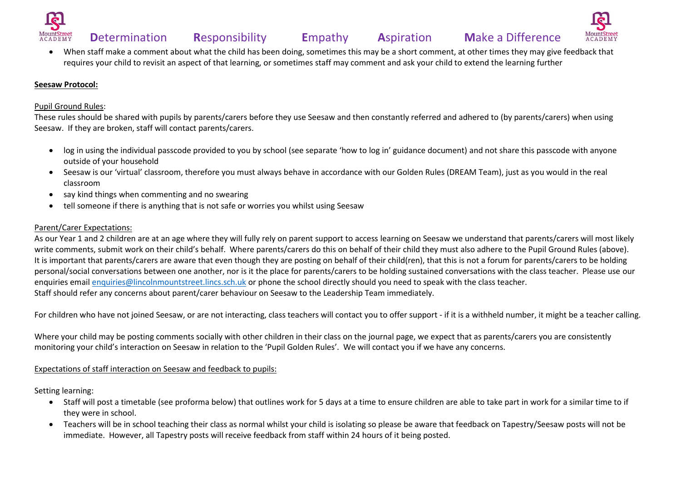





• When staff make a comment about what the child has been doing, sometimes this may be a short comment, at other times they may give feedback that requires your child to revisit an aspect of that learning, or sometimes staff may comment and ask your child to extend the learning further

#### **Seesaw Protocol:**

#### Pupil Ground Rules:

These rules should be shared with pupils by parents/carers before they use Seesaw and then constantly referred and adhered to (by parents/carers) when using Seesaw. If they are broken, staff will contact parents/carers.

- log in using the individual passcode provided to you by school (see separate 'how to log in' guidance document) and not share this passcode with anyone outside of your household
- Seesaw is our 'virtual' classroom, therefore you must always behave in accordance with our Golden Rules (DREAM Team), just as you would in the real classroom
- say kind things when commenting and no swearing
- tell someone if there is anything that is not safe or worries you whilst using Seesaw

#### Parent/Carer Expectations:

As our Year 1 and 2 children are at an age where they will fully rely on parent support to access learning on Seesaw we understand that parents/carers will most likely write comments, submit work on their child's behalf. Where parents/carers do this on behalf of their child they must also adhere to the Pupil Ground Rules (above). It is important that parents/carers are aware that even though they are posting on behalf of their child(ren), that this is not a forum for parents/carers to be holding personal/social conversations between one another, nor is it the place for parents/carers to be holding sustained conversations with the class teacher. Please use our enquiries emai[l enquiries@lincolnmountstreet.lincs.sch.uk](mailto:enquiries@lincolnmountstreet.lincs.sch.uk) or phone the school directly should you need to speak with the class teacher. Staff should refer any concerns about parent/carer behaviour on Seesaw to the Leadership Team immediately.

For children who have not joined Seesaw, or are not interacting, class teachers will contact you to offer support - if it is a withheld number, it might be a teacher calling.

Where your child may be posting comments socially with other children in their class on the journal page, we expect that as parents/carers you are consistently monitoring your child's interaction on Seesaw in relation to the 'Pupil Golden Rules'. We will contact you if we have any concerns.

#### Expectations of staff interaction on Seesaw and feedback to pupils:

Setting learning:

- Staff will post a timetable (see proforma below) that outlines work for 5 days at a time to ensure children are able to take part in work for a similar time to if they were in school.
- Teachers will be in school teaching their class as normal whilst your child is isolating so please be aware that feedback on Tapestry/Seesaw posts will not be immediate. However, all Tapestry posts will receive feedback from staff within 24 hours of it being posted.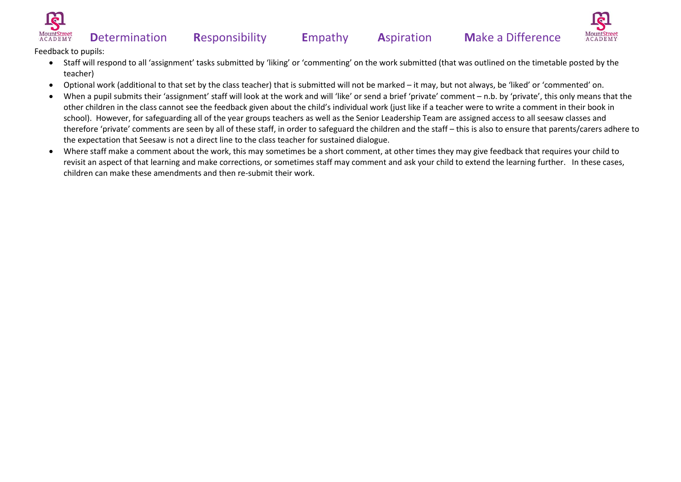



- Staff will respond to all 'assignment' tasks submitted by 'liking' or 'commenting' on the work submitted (that was outlined on the timetable posted by the teacher)
- Optional work (additional to that set by the class teacher) that is submitted will not be marked it may, but not always, be 'liked' or 'commented' on.
- When a pupil submits their 'assignment' staff will look at the work and will 'like' or send a brief 'private' comment n.b. by 'private', this only means that the other children in the class cannot see the feedback given about the child's individual work (just like if a teacher were to write a comment in their book in school). However, for safeguarding all of the year groups teachers as well as the Senior Leadership Team are assigned access to all seesaw classes and therefore 'private' comments are seen by all of these staff, in order to safeguard the children and the staff – this is also to ensure that parents/carers adhere to the expectation that Seesaw is not a direct line to the class teacher for sustained dialogue.
- Where staff make a comment about the work, this may sometimes be a short comment, at other times they may give feedback that requires your child to revisit an aspect of that learning and make corrections, or sometimes staff may comment and ask your child to extend the learning further. In these cases, children can make these amendments and then re-submit their work.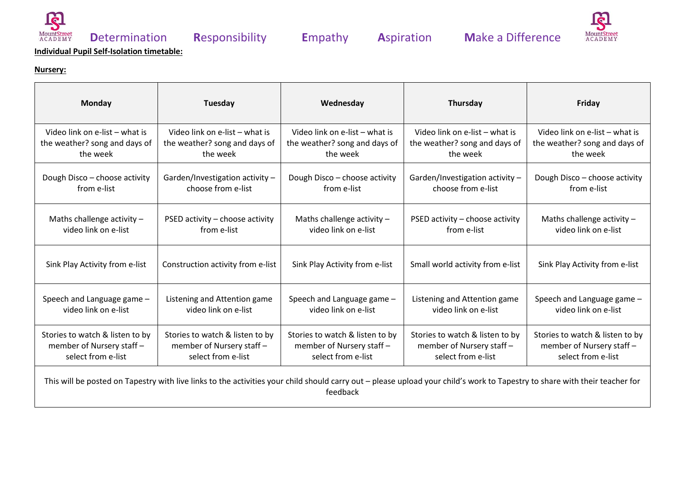



#### **Nursery:**

| Monday                                                                                                                                                                      | Tuesday                           | Wednesday                       | Thursday                         | Friday                          |
|-----------------------------------------------------------------------------------------------------------------------------------------------------------------------------|-----------------------------------|---------------------------------|----------------------------------|---------------------------------|
| Video link on e-list - what is                                                                                                                                              | Video link on e-list - what is    | Video link on e-list - what is  | Video link on e-list - what is   | Video link on e-list - what is  |
| the weather? song and days of                                                                                                                                               | the weather? song and days of     | the weather? song and days of   | the weather? song and days of    | the weather? song and days of   |
| the week                                                                                                                                                                    | the week                          | the week                        | the week                         | the week                        |
| Dough Disco - choose activity                                                                                                                                               | Garden/Investigation activity -   | Dough Disco - choose activity   | Garden/Investigation activity -  | Dough Disco - choose activity   |
| from e-list                                                                                                                                                                 | choose from e-list                | from e-list                     | choose from e-list               | from e-list                     |
| Maths challenge activity $-$                                                                                                                                                | PSED activity - choose activity   | Maths challenge activity -      | PSED activity - choose activity  | Maths challenge activity -      |
| video link on e-list                                                                                                                                                        | from e-list                       | video link on e-list            | from e-list                      | video link on e-list            |
| Sink Play Activity from e-list                                                                                                                                              | Construction activity from e-list | Sink Play Activity from e-list  | Small world activity from e-list | Sink Play Activity from e-list  |
| Speech and Language game -                                                                                                                                                  | Listening and Attention game      | Speech and Language game -      | Listening and Attention game     | Speech and Language game -      |
| video link on e-list                                                                                                                                                        | video link on e-list              | video link on e-list            | video link on e-list             | video link on e-list            |
| Stories to watch & listen to by                                                                                                                                             | Stories to watch & listen to by   | Stories to watch & listen to by | Stories to watch & listen to by  | Stories to watch & listen to by |
| member of Nursery staff -                                                                                                                                                   | member of Nursery staff -         | member of Nursery staff -       | member of Nursery staff -        | member of Nursery staff -       |
| select from e-list                                                                                                                                                          | select from e-list                | select from e-list              | select from e-list               | select from e-list              |
| This will be posted on Tapestry with live links to the activities your child should carry out - please upload your child's work to Tapestry to share with their teacher for |                                   |                                 |                                  |                                 |

feedback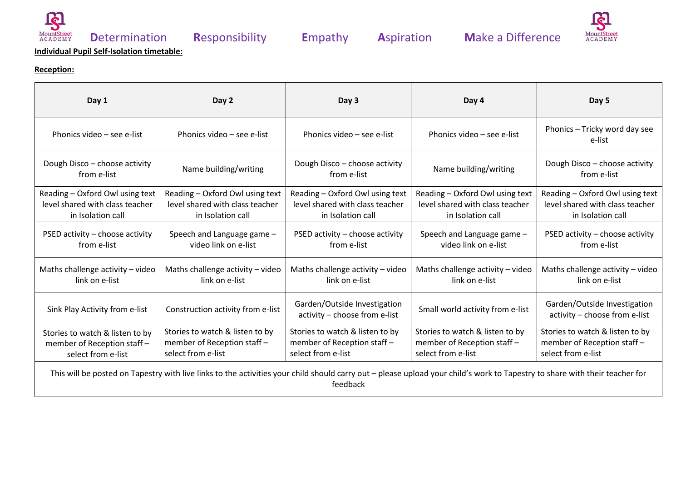



### **Reception:**

| Day 1                                                                                                                                                                       | Day 2                                                                                   | Day 3                                                                                   | Day 4                                                                                   | Day 5                                                                                   |
|-----------------------------------------------------------------------------------------------------------------------------------------------------------------------------|-----------------------------------------------------------------------------------------|-----------------------------------------------------------------------------------------|-----------------------------------------------------------------------------------------|-----------------------------------------------------------------------------------------|
| Phonics video - see e-list                                                                                                                                                  | Phonics video - see e-list                                                              | Phonics video - see e-list                                                              | Phonics video - see e-list                                                              | Phonics - Tricky word day see<br>e-list                                                 |
| Dough Disco - choose activity<br>from e-list                                                                                                                                | Name building/writing                                                                   | Dough Disco - choose activity<br>from e-list                                            | Name building/writing                                                                   | Dough Disco - choose activity<br>from e-list                                            |
| Reading - Oxford Owl using text<br>level shared with class teacher<br>in Isolation call                                                                                     | Reading - Oxford Owl using text<br>level shared with class teacher<br>in Isolation call | Reading - Oxford Owl using text<br>level shared with class teacher<br>in Isolation call | Reading - Oxford Owl using text<br>level shared with class teacher<br>in Isolation call | Reading - Oxford Owl using text<br>level shared with class teacher<br>in Isolation call |
| PSED activity - choose activity<br>from e-list                                                                                                                              | Speech and Language game -<br>video link on e-list                                      | PSED activity - choose activity<br>from e-list                                          | Speech and Language game -<br>video link on e-list                                      | PSED activity - choose activity<br>from e-list                                          |
| Maths challenge activity - video<br>link on e-list                                                                                                                          | Maths challenge activity - video<br>link on e-list                                      | Maths challenge activity - video<br>link on e-list                                      | Maths challenge activity - video<br>link on e-list                                      | Maths challenge activity - video<br>link on e-list                                      |
| Sink Play Activity from e-list                                                                                                                                              | Construction activity from e-list                                                       | Garden/Outside Investigation<br>activity - choose from e-list                           | Small world activity from e-list                                                        | Garden/Outside Investigation<br>activity - choose from e-list                           |
| Stories to watch & listen to by<br>member of Reception staff-<br>select from e-list                                                                                         | Stories to watch & listen to by<br>member of Reception staff-<br>select from e-list     | Stories to watch & listen to by<br>member of Reception staff-<br>select from e-list     | Stories to watch & listen to by<br>member of Reception staff -<br>select from e-list    | Stories to watch & listen to by<br>member of Reception staff -<br>select from e-list    |
| This will be posted on Tapestry with live links to the activities your child should carry out - please upload your child's work to Tapestry to share with their teacher for |                                                                                         |                                                                                         |                                                                                         |                                                                                         |

feedback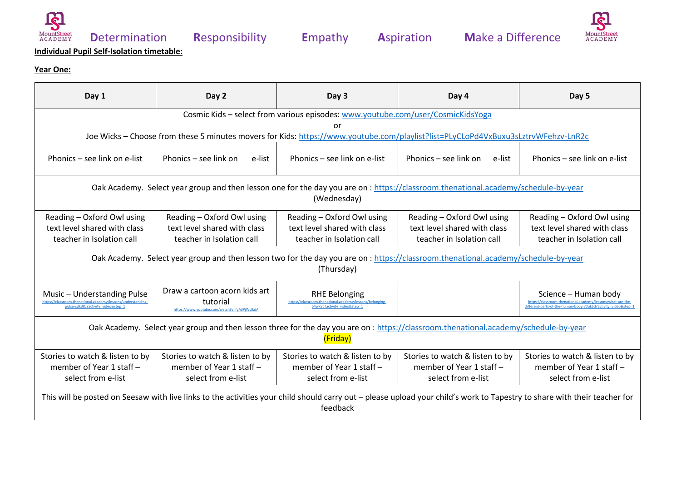





### **Year One:**

| Day 1                                                                                                                                                                                 | Day 2                                                                                                                             | Day 3                                                                                             | Day 4                                                       | Day 5                                                       |  |
|---------------------------------------------------------------------------------------------------------------------------------------------------------------------------------------|-----------------------------------------------------------------------------------------------------------------------------------|---------------------------------------------------------------------------------------------------|-------------------------------------------------------------|-------------------------------------------------------------|--|
|                                                                                                                                                                                       | Cosmic Kids - select from various episodes: www.youtube.com/user/CosmicKidsYoga                                                   |                                                                                                   |                                                             |                                                             |  |
|                                                                                                                                                                                       | Joe Wicks - Choose from these 5 minutes movers for Kids: https://www.youtube.com/playlist?list=PLyCLoPd4VxBuxu3sLztrvWFehzv-LnR2c | or                                                                                                |                                                             |                                                             |  |
|                                                                                                                                                                                       |                                                                                                                                   |                                                                                                   |                                                             |                                                             |  |
| Phonics – see link on e-list                                                                                                                                                          | Phonics – see link on<br>e-list                                                                                                   | Phonics - see link on e-list                                                                      | Phonics – see link on<br>e-list                             | Phonics – see link on e-list                                |  |
| Oak Academy. Select year group and then lesson one for the day you are on: https://classroom.thenational.academy/schedule-by-year                                                     |                                                                                                                                   |                                                                                                   |                                                             |                                                             |  |
|                                                                                                                                                                                       |                                                                                                                                   | (Wednesday)                                                                                       |                                                             |                                                             |  |
| Reading - Oxford Owl using                                                                                                                                                            | Reading - Oxford Owl using                                                                                                        | Reading - Oxford Owl using                                                                        | Reading - Oxford Owl using                                  | Reading - Oxford Owl using                                  |  |
| text level shared with class                                                                                                                                                          | text level shared with class                                                                                                      | text level shared with class                                                                      | text level shared with class                                | text level shared with class                                |  |
| teacher in Isolation call                                                                                                                                                             | teacher in Isolation call                                                                                                         | teacher in Isolation call                                                                         | teacher in Isolation call                                   | teacher in Isolation call                                   |  |
| Oak Academy. Select year group and then lesson two for the day you are on: https://classroom.thenational.academy/schedule-by-year<br>(Thursday)                                       |                                                                                                                                   |                                                                                                   |                                                             |                                                             |  |
| Music - Understanding Pulse<br>pulse-cdk38c?activity=video&step=1                                                                                                                     | Draw a cartoon acorn kids art<br>tutorial<br>https://www.youtube.com/watch?v=fyA3PjWUkdA                                          | <b>RHE Belonging</b><br>om.thenational.academy/lessons/belonging-<br>S4wk8c?activity=video&sten=1 |                                                             | Science - Human body                                        |  |
| Oak Academy. Select year group and then lesson three for the day you are on: https://classroom.thenational.academy/schedule-by-year<br>(Friday)                                       |                                                                                                                                   |                                                                                                   |                                                             |                                                             |  |
| Stories to watch & listen to by<br>member of Year 1 staff -                                                                                                                           | Stories to watch & listen to by<br>member of Year 1 staff -                                                                       | Stories to watch & listen to by<br>member of Year 1 staff -                                       | Stories to watch & listen to by<br>member of Year 1 staff - | Stories to watch & listen to by<br>member of Year 1 staff - |  |
| select from e-list                                                                                                                                                                    | select from e-list                                                                                                                | select from e-list                                                                                | select from e-list                                          | select from e-list                                          |  |
| This will be posted on Seesaw with live links to the activities your child should carry out - please upload your child's work to Tapestry to share with their teacher for<br>feedback |                                                                                                                                   |                                                                                                   |                                                             |                                                             |  |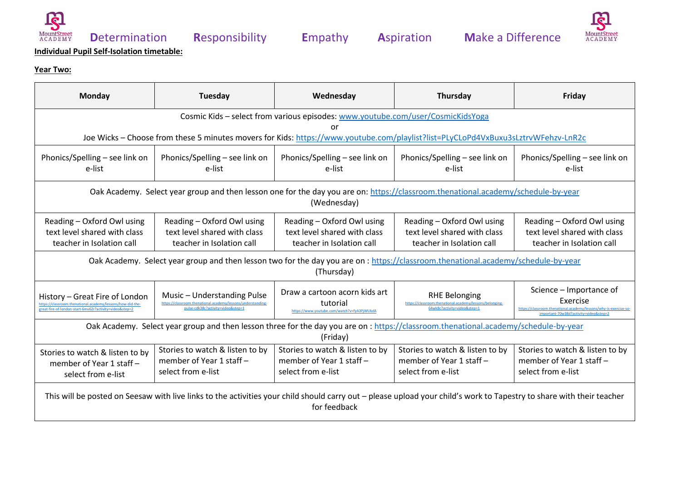





### **Year Two:**

| Monday                                                                                                                                                                                | Tuesday                                                                                                                           | Wednesday                                                                                | Thursday                                                                                                       | Friday                                                                                                  |  |
|---------------------------------------------------------------------------------------------------------------------------------------------------------------------------------------|-----------------------------------------------------------------------------------------------------------------------------------|------------------------------------------------------------------------------------------|----------------------------------------------------------------------------------------------------------------|---------------------------------------------------------------------------------------------------------|--|
|                                                                                                                                                                                       | Cosmic Kids - select from various episodes: www.youtube.com/user/CosmicKidsYoga<br>or                                             |                                                                                          |                                                                                                                |                                                                                                         |  |
|                                                                                                                                                                                       | Joe Wicks - Choose from these 5 minutes movers for Kids: https://www.youtube.com/playlist?list=PLyCLoPd4VxBuxu3sLztrvWFehzv-LnR2c |                                                                                          |                                                                                                                |                                                                                                         |  |
| Phonics/Spelling – see link on<br>e-list                                                                                                                                              | Phonics/Spelling - see link on<br>e-list                                                                                          | Phonics/Spelling - see link on<br>e-list                                                 | Phonics/Spelling - see link on<br>e-list                                                                       | Phonics/Spelling - see link on<br>e-list                                                                |  |
| Oak Academy. Select year group and then lesson one for the day you are on: https://classroom.thenational.academy/schedule-by-year<br>(Wednesday)                                      |                                                                                                                                   |                                                                                          |                                                                                                                |                                                                                                         |  |
| Reading - Oxford Owl using<br>text level shared with class<br>teacher in Isolation call                                                                                               | Reading - Oxford Owl using<br>text level shared with class<br>teacher in Isolation call                                           | Reading - Oxford Owl using<br>text level shared with class<br>teacher in Isolation call  | Reading - Oxford Owl using<br>text level shared with class<br>teacher in Isolation call                        | Reading - Oxford Owl using<br>text level shared with class<br>teacher in Isolation call                 |  |
| Oak Academy. Select year group and then lesson two for the day you are on: https://classroom.thenational.academy/schedule-by-year<br>(Thursday)                                       |                                                                                                                                   |                                                                                          |                                                                                                                |                                                                                                         |  |
| History - Great Fire of London<br>great-fire-of-london-start-6mv62r?activity=video&step=2                                                                                             | Music - Understanding Pulse<br>https://classroom.thenational.academy/lessons/understanding<br>pulse-cdk38c?activity=video&sten=1  | Draw a cartoon acorn kids art<br>tutorial<br>https://www.youtube.com/watch?v=fyA3PjWUkdA | <b>RHE Belonging</b><br>https://classroom.thenational.academy/lessons/belonging<br>64wk8c?activitv=video&step= | Science - Importance of<br>Exercise<br>https://classroom.thenational.academy/lessons/why-is-exercise-so |  |
| Oak Academy. Select year group and then lesson three for the day you are on: https://classroom.thenational.academy/schedule-by-year<br>(Friday)                                       |                                                                                                                                   |                                                                                          |                                                                                                                |                                                                                                         |  |
| Stories to watch & listen to by<br>member of Year 1 staff -<br>select from e-list                                                                                                     | Stories to watch & listen to by<br>member of Year 1 staff -<br>select from e-list                                                 | Stories to watch & listen to by<br>member of Year 1 staff -<br>select from e-list        | Stories to watch & listen to by<br>member of Year 1 staff -<br>select from e-list                              | Stories to watch & listen to by<br>member of Year 1 staff -<br>select from e-list                       |  |
| This will be posted on Seesaw with live links to the activities your child should carry out - please upload your child's work to Tapestry to share with their teacher<br>for feedback |                                                                                                                                   |                                                                                          |                                                                                                                |                                                                                                         |  |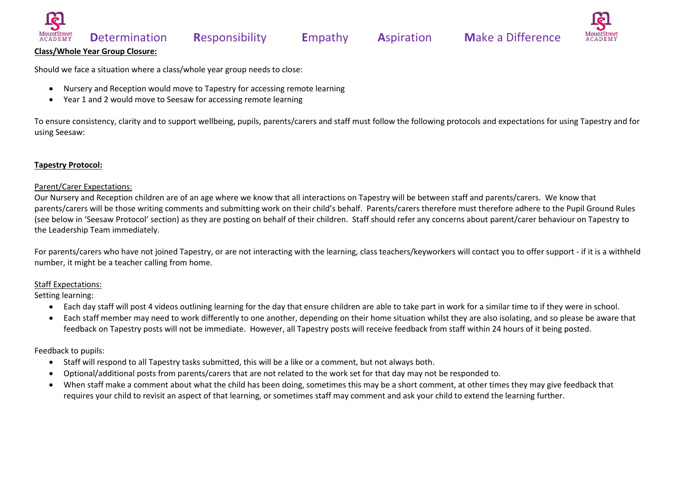

#### **Class/Whole Year Group Closure:**

Should we face a situation where a class/whole year group needs to close:

- Nursery and Reception would move to Tapestry for accessing remote learning
- Year 1 and 2 would move to Seesaw for accessing remote learning

To ensure consistency, clarity and to support wellbeing, pupils, parents/carers and staff must follow the following protocols and expectations for using Tapestry and for using Seesaw:

#### **Tapestry Protocol:**

#### Parent/Carer Expectations:

Our Nursery and Reception children are of an age where we know that all interactions on Tapestry will be between staff and parents/carers. We know that parents/carers will be those writing comments and submitting work on their child's behalf. Parents/carers therefore must therefore adhere to the Pupil Ground Rules (see below in 'Seesaw Protocol' section) as they are posting on behalf of their children. Staff should refer any concerns about parent/carer behaviour on Tapestry to the Leadership Team immediately.

For parents/carers who have not joined Tapestry, or are not interacting with the learning, class teachers/keyworkers will contact you to offer support - if it is a withheld number, it might be a teacher calling from home.

#### Staff Expectations:

Setting learning:

- Each day staff will post 4 videos outlining learning for the day that ensure children are able to take part in work for a similar time to if they were in school.
- Each staff member may need to work differently to one another, depending on their home situation whilst they are also isolating, and so please be aware that feedback on Tapestry posts will not be immediate. However, all Tapestry posts will receive feedback from staff within 24 hours of it being posted.

- Staff will respond to all Tapestry tasks submitted, this will be a like or a comment, but not always both.
- Optional/additional posts from parents/carers that are not related to the work set for that day may not be responded to.
- When staff make a comment about what the child has been doing, sometimes this may be a short comment, at other times they may give feedback that requires your child to revisit an aspect of that learning, or sometimes staff may comment and ask your child to extend the learning further.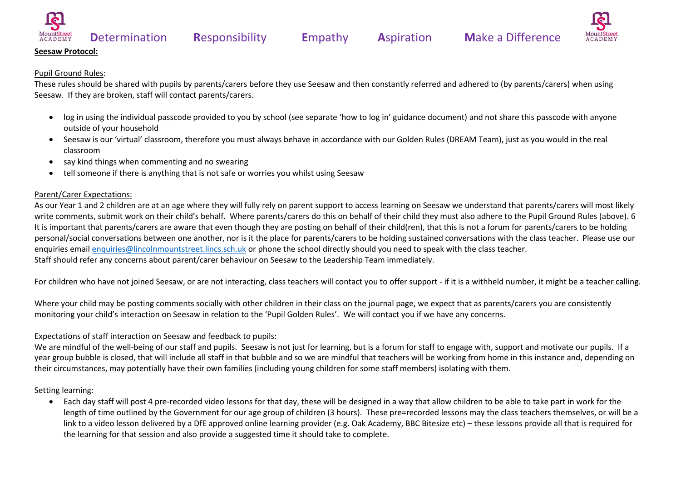



#### **Seesaw Protocol:**

#### Pupil Ground Rules:

These rules should be shared with pupils by parents/carers before they use Seesaw and then constantly referred and adhered to (by parents/carers) when using Seesaw. If they are broken, staff will contact parents/carers.

- log in using the individual passcode provided to you by school (see separate 'how to log in' guidance document) and not share this passcode with anyone outside of your household
- Seesaw is our 'virtual' classroom, therefore you must always behave in accordance with our Golden Rules (DREAM Team), just as you would in the real classroom
- say kind things when commenting and no swearing
- tell someone if there is anything that is not safe or worries you whilst using Seesaw

#### Parent/Carer Expectations:

As our Year 1 and 2 children are at an age where they will fully rely on parent support to access learning on Seesaw we understand that parents/carers will most likely write comments, submit work on their child's behalf. Where parents/carers do this on behalf of their child they must also adhere to the Pupil Ground Rules (above). 6 It is important that parents/carers are aware that even though they are posting on behalf of their child(ren), that this is not a forum for parents/carers to be holding personal/social conversations between one another, nor is it the place for parents/carers to be holding sustained conversations with the class teacher. Please use our enquiries emai[l enquiries@lincolnmountstreet.lincs.sch.uk](mailto:enquiries@lincolnmountstreet.lincs.sch.uk) or phone the school directly should you need to speak with the class teacher. Staff should refer any concerns about parent/carer behaviour on Seesaw to the Leadership Team immediately.

For children who have not joined Seesaw, or are not interacting, class teachers will contact you to offer support - if it is a withheld number, it might be a teacher calling.

Where your child may be posting comments socially with other children in their class on the journal page, we expect that as parents/carers you are consistently monitoring your child's interaction on Seesaw in relation to the 'Pupil Golden Rules'. We will contact you if we have any concerns.

### Expectations of staff interaction on Seesaw and feedback to pupils:

We are mindful of the well-being of our staff and pupils. Seesaw is not just for learning, but is a forum for staff to engage with, support and motivate our pupils. If a year group bubble is closed, that will include all staff in that bubble and so we are mindful that teachers will be working from home in this instance and, depending on their circumstances, may potentially have their own families (including young children for some staff members) isolating with them.

#### Setting learning:

• Each day staff will post 4 pre-recorded video lessons for that day, these will be designed in a way that allow children to be able to take part in work for the length of time outlined by the Government for our age group of children (3 hours). These pre=recorded lessons may the class teachers themselves, or will be a link to a video lesson delivered by a DfE approved online learning provider (e.g. Oak Academy, BBC Bitesize etc) – these lessons provide all that is required for the learning for that session and also provide a suggested time it should take to complete.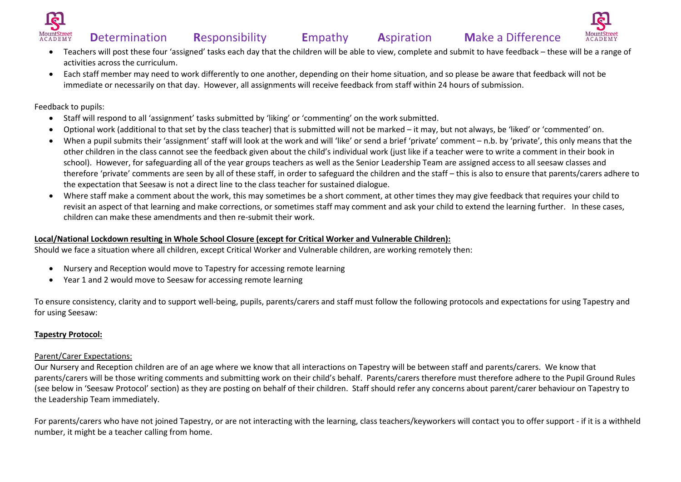



- Teachers will post these four 'assigned' tasks each day that the children will be able to view, complete and submit to have feedback these will be a range of activities across the curriculum.
- Each staff member may need to work differently to one another, depending on their home situation, and so please be aware that feedback will not be immediate or necessarily on that day. However, all assignments will receive feedback from staff within 24 hours of submission.

Feedback to pupils:

- Staff will respond to all 'assignment' tasks submitted by 'liking' or 'commenting' on the work submitted.
- Optional work (additional to that set by the class teacher) that is submitted will not be marked it may, but not always, be 'liked' or 'commented' on.
- When a pupil submits their 'assignment' staff will look at the work and will 'like' or send a brief 'private' comment n.b. by 'private', this only means that the other children in the class cannot see the feedback given about the child's individual work (just like if a teacher were to write a comment in their book in school). However, for safeguarding all of the year groups teachers as well as the Senior Leadership Team are assigned access to all seesaw classes and therefore 'private' comments are seen by all of these staff, in order to safeguard the children and the staff – this is also to ensure that parents/carers adhere to the expectation that Seesaw is not a direct line to the class teacher for sustained dialogue.
- Where staff make a comment about the work, this may sometimes be a short comment, at other times they may give feedback that requires your child to revisit an aspect of that learning and make corrections, or sometimes staff may comment and ask your child to extend the learning further. In these cases, children can make these amendments and then re-submit their work.

#### **Local/National Lockdown resulting in Whole School Closure (except for Critical Worker and Vulnerable Children):**

Should we face a situation where all children, except Critical Worker and Vulnerable children, are working remotely then:

- Nursery and Reception would move to Tapestry for accessing remote learning
- Year 1 and 2 would move to Seesaw for accessing remote learning

To ensure consistency, clarity and to support well-being, pupils, parents/carers and staff must follow the following protocols and expectations for using Tapestry and for using Seesaw:

### **Tapestry Protocol:**

### Parent/Carer Expectations:

Our Nursery and Reception children are of an age where we know that all interactions on Tapestry will be between staff and parents/carers. We know that parents/carers will be those writing comments and submitting work on their child's behalf. Parents/carers therefore must therefore adhere to the Pupil Ground Rules (see below in 'Seesaw Protocol' section) as they are posting on behalf of their children. Staff should refer any concerns about parent/carer behaviour on Tapestry to the Leadership Team immediately.

For parents/carers who have not joined Tapestry, or are not interacting with the learning, class teachers/keyworkers will contact you to offer support - if it is a withheld number, it might be a teacher calling from home.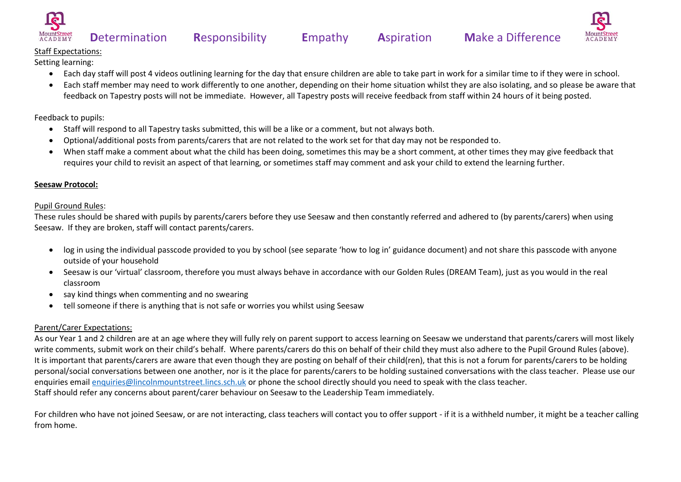



#### Staff Expectations:

Setting learning:

- Each day staff will post 4 videos outlining learning for the day that ensure children are able to take part in work for a similar time to if they were in school.
- Each staff member may need to work differently to one another, depending on their home situation whilst they are also isolating, and so please be aware that feedback on Tapestry posts will not be immediate. However, all Tapestry posts will receive feedback from staff within 24 hours of it being posted.

Feedback to pupils:

- Staff will respond to all Tapestry tasks submitted, this will be a like or a comment, but not always both.
- Optional/additional posts from parents/carers that are not related to the work set for that day may not be responded to.
- When staff make a comment about what the child has been doing, sometimes this may be a short comment, at other times they may give feedback that requires your child to revisit an aspect of that learning, or sometimes staff may comment and ask your child to extend the learning further.

#### **Seesaw Protocol:**

#### Pupil Ground Rules:

These rules should be shared with pupils by parents/carers before they use Seesaw and then constantly referred and adhered to (by parents/carers) when using Seesaw. If they are broken, staff will contact parents/carers.

- log in using the individual passcode provided to you by school (see separate 'how to log in' guidance document) and not share this passcode with anyone outside of your household
- Seesaw is our 'virtual' classroom, therefore you must always behave in accordance with our Golden Rules (DREAM Team), just as you would in the real classroom
- say kind things when commenting and no swearing
- tell someone if there is anything that is not safe or worries you whilst using Seesaw

### Parent/Carer Expectations:

As our Year 1 and 2 children are at an age where they will fully rely on parent support to access learning on Seesaw we understand that parents/carers will most likely write comments, submit work on their child's behalf. Where parents/carers do this on behalf of their child they must also adhere to the Pupil Ground Rules (above). It is important that parents/carers are aware that even though they are posting on behalf of their child(ren), that this is not a forum for parents/carers to be holding personal/social conversations between one another, nor is it the place for parents/carers to be holding sustained conversations with the class teacher. Please use our enquiries emai[l enquiries@lincolnmountstreet.lincs.sch.uk](mailto:enquiries@lincolnmountstreet.lincs.sch.uk) or phone the school directly should you need to speak with the class teacher. Staff should refer any concerns about parent/carer behaviour on Seesaw to the Leadership Team immediately.

For children who have not joined Seesaw, or are not interacting, class teachers will contact you to offer support - if it is a withheld number, it might be a teacher calling from home.